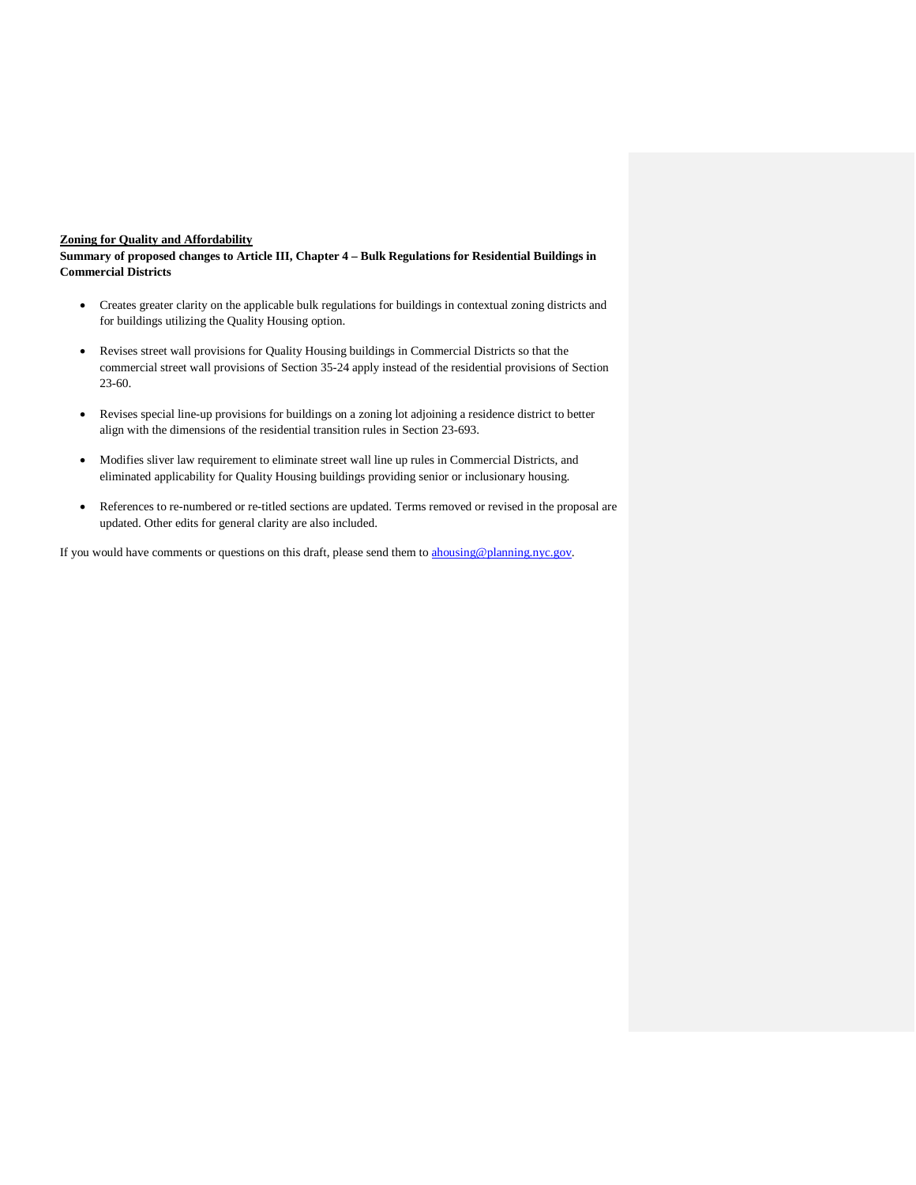### **Zoning for Quality and Affordability**

**Summary of proposed changes to Article III, Chapter 4 – Bulk Regulations for Residential Buildings in Commercial Districts**

- Creates greater clarity on the applicable bulk regulations for buildings in contextual zoning districts and for buildings utilizing the Quality Housing option.
- Revises street wall provisions for Quality Housing buildings in Commercial Districts so that the commercial street wall provisions of Section 35-24 apply instead of the residential provisions of Section 23-60.
- Revises special line-up provisions for buildings on a zoning lot adjoining a residence district to better align with the dimensions of the residential transition rules in Section 23-693.
- Modifies sliver law requirement to eliminate street wall line up rules in Commercial Districts, and eliminated applicability for Quality Housing buildings providing senior or inclusionary housing.
- References to re-numbered or re-titled sections are updated. Terms removed or revised in the proposal are updated. Other edits for general clarity are also included.

If you would have comments or questions on this draft, please send them to [ahousing@planning.nyc.gov.](mailto:ahousing@planning.nyc.gov)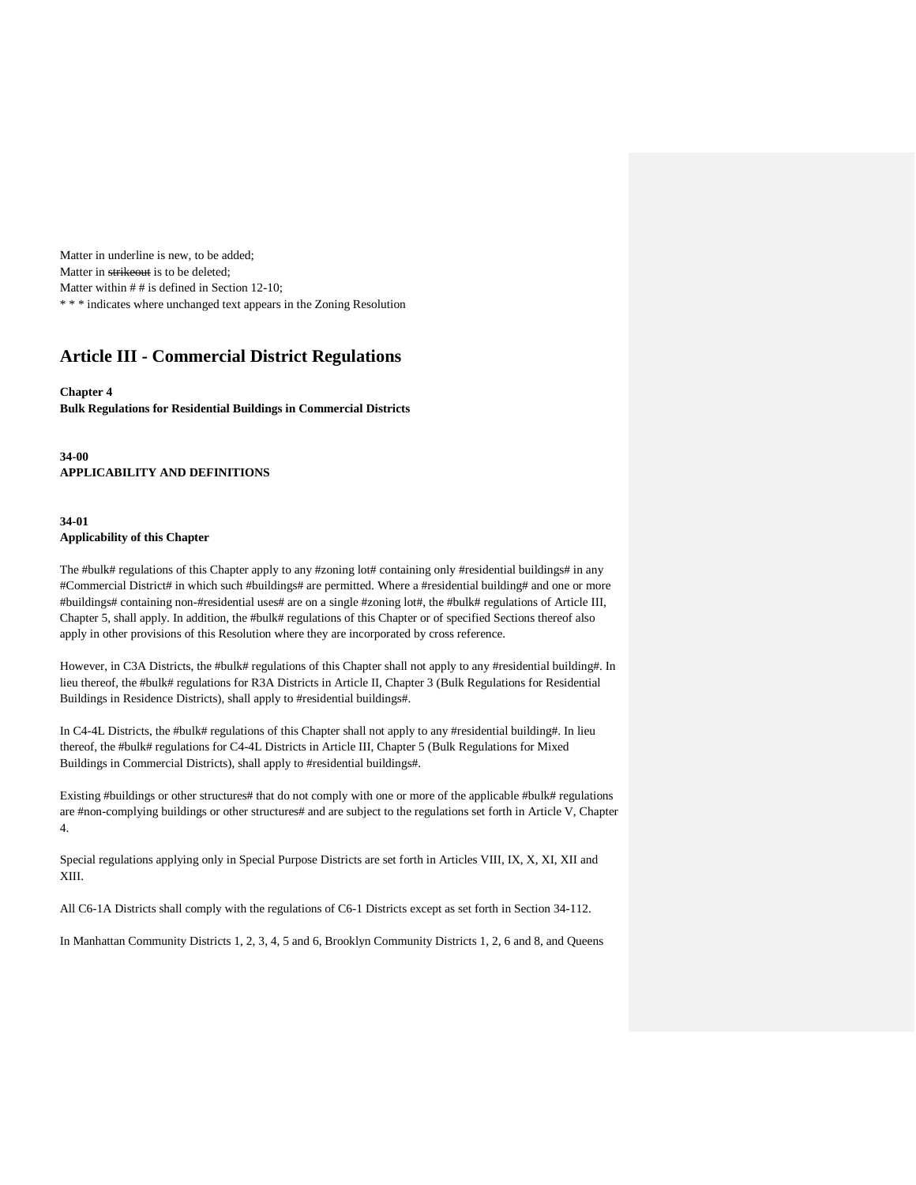Matter in underline is new, to be added; Matter in strikeout is to be deleted; Matter within # # is defined in Section 12-10; \* \* \* indicates where unchanged text appears in the Zoning Resolution

# **Article III - Commercial District Regulations**

#### **Chapter 4 Bulk Regulations for Residential Buildings in Commercial Districts**

**34-00 APPLICABILITY AND DEFINITIONS**

### **34-01 Applicability of this Chapter**

The #bulk# regulations of this Chapter apply to any #zoning lot# containing only #residential buildings# in any #Commercial District# in which such #buildings# are permitted. Where a #residential building# and one or more #buildings# containing non-#residential uses# are on a single #zoning lot#, the #bulk# regulations of Article III, Chapter 5, shall apply. In addition, the #bulk# regulations of this Chapter or of specified Sections thereof also apply in other provisions of this Resolution where they are incorporated by cross reference.

However, in C3A Districts, the #bulk# regulations of this Chapter shall not apply to any #residential building#. In lieu thereof, the #bulk# regulations for R3A Districts in Article II, Chapter 3 (Bulk Regulations for Residential Buildings in Residence Districts), shall apply to #residential buildings#.

In C4-4L Districts, the #bulk# regulations of this Chapter shall not apply to any #residential building#. In lieu thereof, the #bulk# regulations for C4-4L Districts in Article III, Chapter 5 (Bulk Regulations for Mixed Buildings in Commercial Districts), shall apply to #residential buildings#.

Existing #buildings or other structures# that do not comply with one or more of the applicable #bulk# regulations are #non-complying buildings or other structures# and are subject to the regulations set forth in Article V, Chapter 4.

Special regulations applying only in Special Purpose Districts are set forth in Articles VIII, IX, X, XI, XII and XIII.

All C6-1A Districts shall comply with the regulations of C6-1 Districts except as set forth in Section 34-112.

In Manhattan Community Districts 1, 2, 3, 4, 5 and 6, Brooklyn Community Districts 1, 2, 6 and 8, and Queens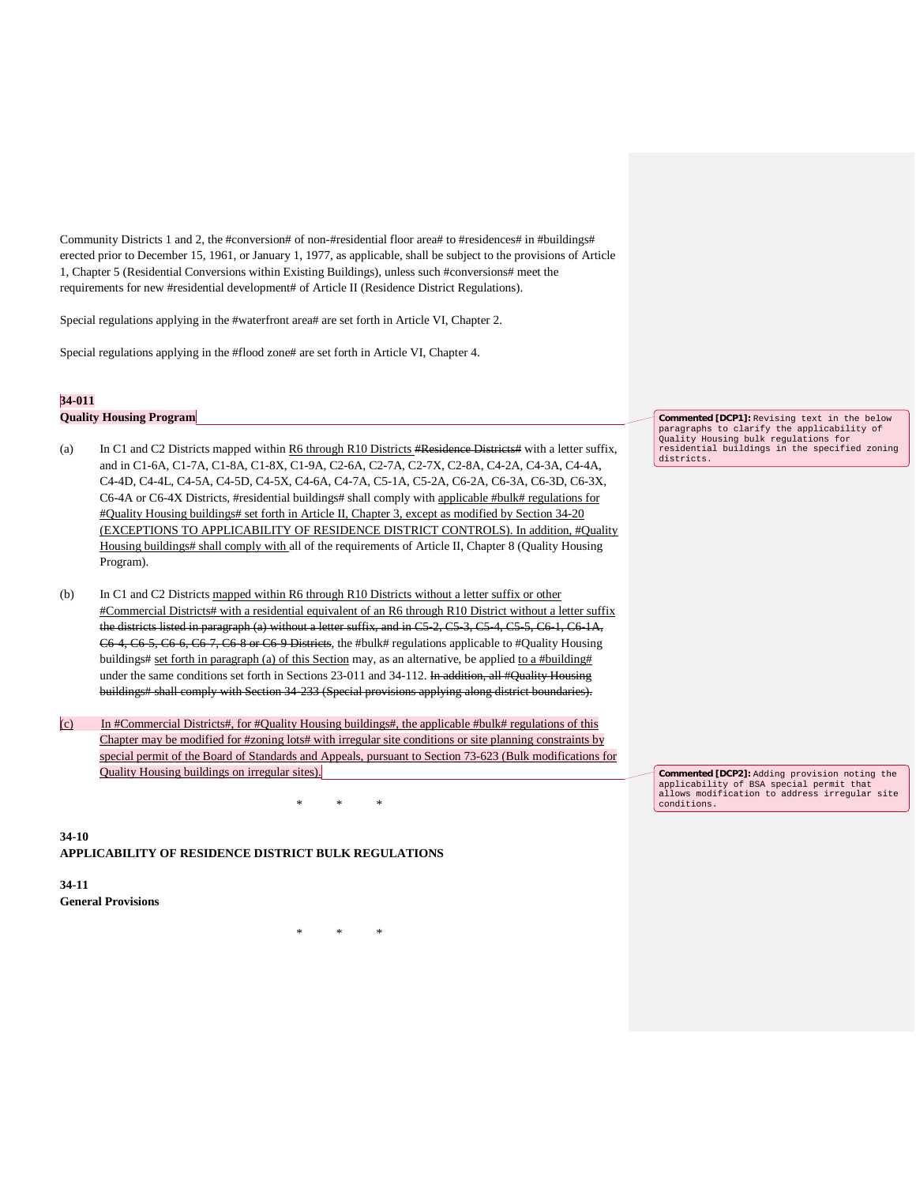Community Districts 1 and 2, the #conversion# of non-#residential floor area# to #residences# in #buildings# erected prior to December 15, 1961, or January 1, 1977, as applicable, shall be subject to the provisions of Article 1, Chapter 5 (Residential Conversions within Existing Buildings), unless such #conversions# meet the requirements for new #residential development# of Article II (Residence District Regulations).

Special regulations applying in the #waterfront area# are set forth in Article VI, Chapter 2.

Special regulations applying in the #flood zone# are set forth in Article VI, Chapter 4.

### **34-011**

**Quality Housing Program**

- (a) In C1 and C2 Districts mapped within  $R6$  through R10 Districts #Residence Districts# with a letter suffix, and in C1-6A, C1-7A, C1-8A, C1-8X, C1-9A, C2-6A, C2-7A, C2-7X, C2-8A, C4-2A, C4-3A, C4-4A, C4-4D, C4-4L, C4-5A, C4-5D, C4-5X, C4-6A, C4-7A, C5-1A, C5-2A, C6-2A, C6-3A, C6-3D, C6-3X, C6-4A or C6-4X Districts, #residential buildings# shall comply with applicable #bulk# regulations for #Quality Housing buildings# set forth in Article II, Chapter 3, except as modified by Section 34-20 (EXCEPTIONS TO APPLICABILITY OF RESIDENCE DISTRICT CONTROLS). In addition, #Quality Housing buildings# shall comply with all of the requirements of Article II, Chapter 8 (Quality Housing Program).
- (b) In C1 and C2 Districts mapped within R6 through R10 Districts without a letter suffix or other #Commercial Districts# with a residential equivalent of an R6 through R10 District without a letter suffix the districts listed in paragraph (a) without a letter suffix, and in C5-2, C5-3, C5-4, C5-5, C6-1, C6-1A, C6-4, C6-5, C6-6, C6-7, C6-8 or C6-9 Districts, the #bulk# regulations applicable to #Quality Housing buildings# set forth in paragraph (a) of this Section may, as an alternative, be applied to a #building# under the same conditions set forth in Sections 23-011 and 34-112. In addition, all #Quality Housing buildings# shall comply with Section 34-233 (Special provisions applying along district boundaries).
- (c) In #Commercial Districts#, for #Quality Housing buildings#, the applicable #bulk# regulations of this Chapter may be modified for #zoning lots# with irregular site conditions or site planning constraints by special permit of the Board of Standards and Appeals, pursuant to Section 73-623 (Bulk modifications for Quality Housing buildings on irregular sites).

\* \* \*

\* \* \*

**34-10 APPLICABILITY OF RESIDENCE DISTRICT BULK REGULATIONS**

**34-11 General Provisions**

**Commented [DCP1]:** Revising text in the below paragraphs to clarify the applicability of Quality Housing bulk regulations for residential buildings in the specified zoning districts.

**Commented [DCP2]:** Adding provision noting the applicability of BSA special permit that allows modification to address irregular site conditions.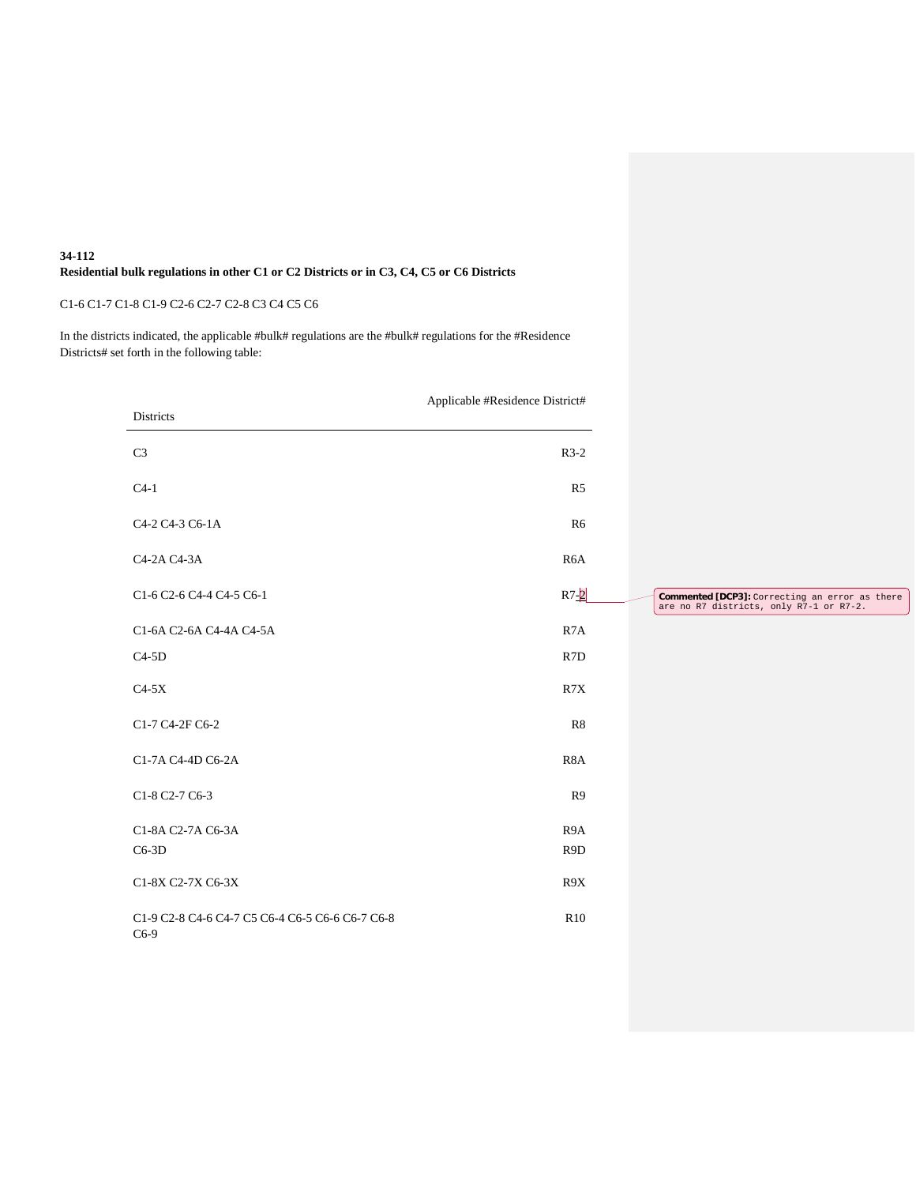### **34-112 Residential bulk regulations in other C1 or C2 Districts or in C3, C4, C5 or C6 Districts**

# C1-6 C1-7 C1-8 C1-9 C2-6 C2-7 C2-8 C3 C4 C5 C6

In the districts indicated, the applicable #bulk# regulations are the #bulk# regulations for the #Residence Districts# set forth in the following table:

|                                                           | Applicable #Residence District# |
|-----------------------------------------------------------|---------------------------------|
| Districts                                                 |                                 |
| C <sub>3</sub>                                            | $R3-2$                          |
| $C4-1$                                                    | R <sub>5</sub>                  |
| C <sub>4</sub> -2 C <sub>4</sub> -3 C <sub>6</sub> -1A    | R6                              |
| C4-2A C4-3A                                               | R <sub>6</sub> A                |
| C1-6 C2-6 C4-4 C4-5 C6-1                                  | $R7 - 2$                        |
| C1-6A C2-6A C4-4A C4-5A                                   | R <sub>7</sub> A                |
| $C4-5D$                                                   | R7D                             |
| $C4-5X$                                                   | R7X                             |
| C1-7 C4-2F C6-2                                           | R8                              |
| C1-7A C4-4D C6-2A                                         | R <sub>8</sub> A                |
| C1-8 C2-7 C6-3                                            | R <sub>9</sub>                  |
| C1-8A C2-7A C6-3A                                         | R <sub>9</sub> A                |
| $C6-3D$                                                   | R <sub>9</sub> D                |
| C1-8X C2-7X C6-3X                                         | R9X                             |
| C1-9 C2-8 C4-6 C4-7 C5 C6-4 C6-5 C6-6 C6-7 C6-8<br>$C6-9$ | R <sub>10</sub>                 |

**Commented [DCP3]:** Correcting an error as there are no R7 districts, only R7-1 or R7-2.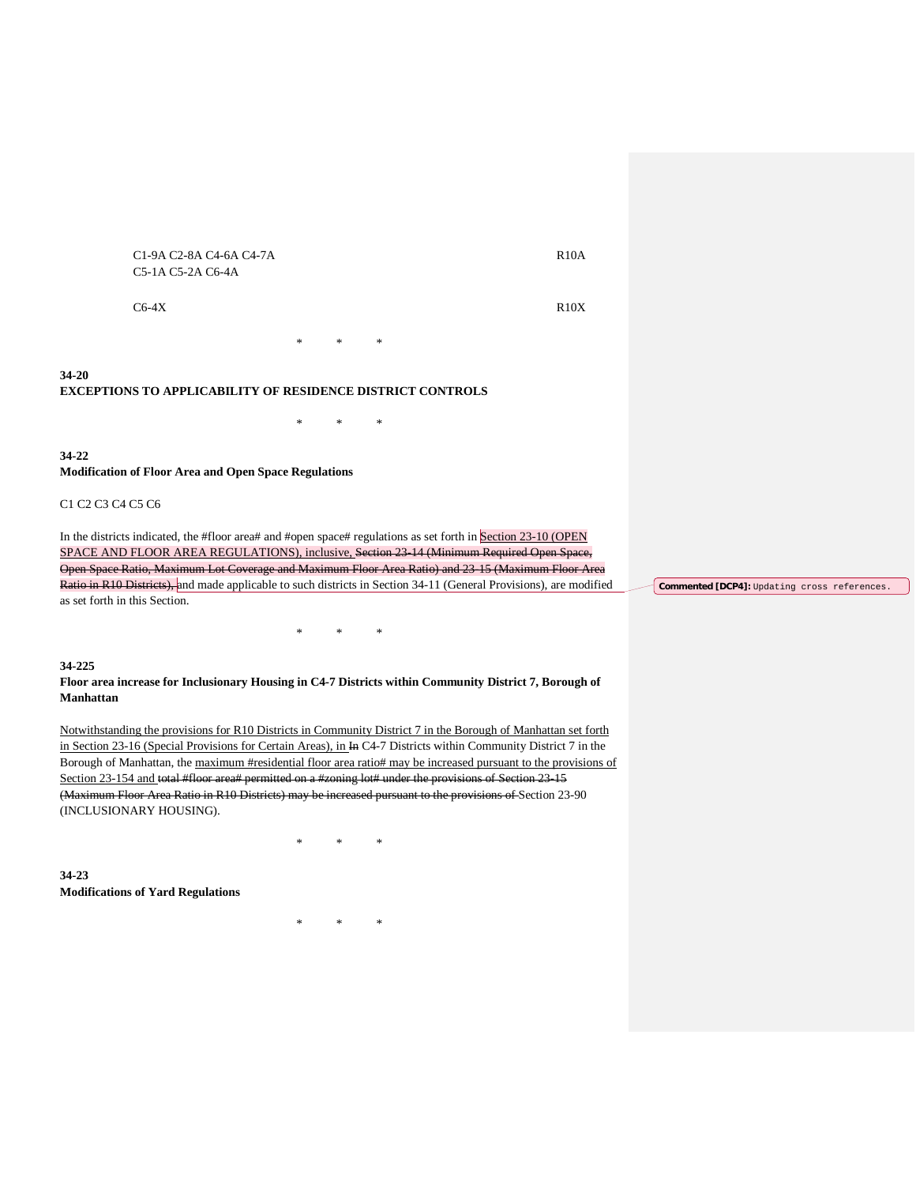C1-9A C2-8A C4-6A C4-7A C5-1A C5-2A C6-4A

 $C6-4X$  R10X

R10A

**34-20 EXCEPTIONS TO APPLICABILITY OF RESIDENCE DISTRICT CONTROLS**

**34-22 Modification of Floor Area and Open Space Regulations**

### C1 C2 C3 C4 C5 C6

In the districts indicated, the #floor area# and #open space# regulations as set forth in Section 23-10 (OPEN SPACE AND FLOOR AREA REGULATIONS), inclusive, Section 23-14 (Minimum Required Open Space, Open Space Ratio, Maximum Lot Coverage and Maximum Floor Area Ratio) and 23-15 (Maximum Floor Area Ratio in R10 Districts), and made applicable to such districts in Section 34-11 (General Provisions), are modified as set forth in this Section.

\* \* \*

\* \* \*

\* \* \*

#### **34-225**

**Floor area increase for Inclusionary Housing in C4-7 Districts within Community District 7, Borough of Manhattan**

Notwithstanding the provisions for R10 Districts in Community District 7 in the Borough of Manhattan set forth in Section 23-16 (Special Provisions for Certain Areas), in In C4-7 Districts within Community District 7 in the Borough of Manhattan, the maximum #residential floor area ratio# may be increased pursuant to the provisions of Section 23-154 and total #floor area# permitted on a #zoning lot# under the provisions of Section 23-15 (Maximum Floor Area Ratio in R10 Districts) may be increased pursuant to the provisions of Section 23-90 (INCLUSIONARY HOUSING).

\* \* \*

**34-23 Modifications of Yard Regulations**

\* \* \*

**Commented [DCP4]:** Updating cross references.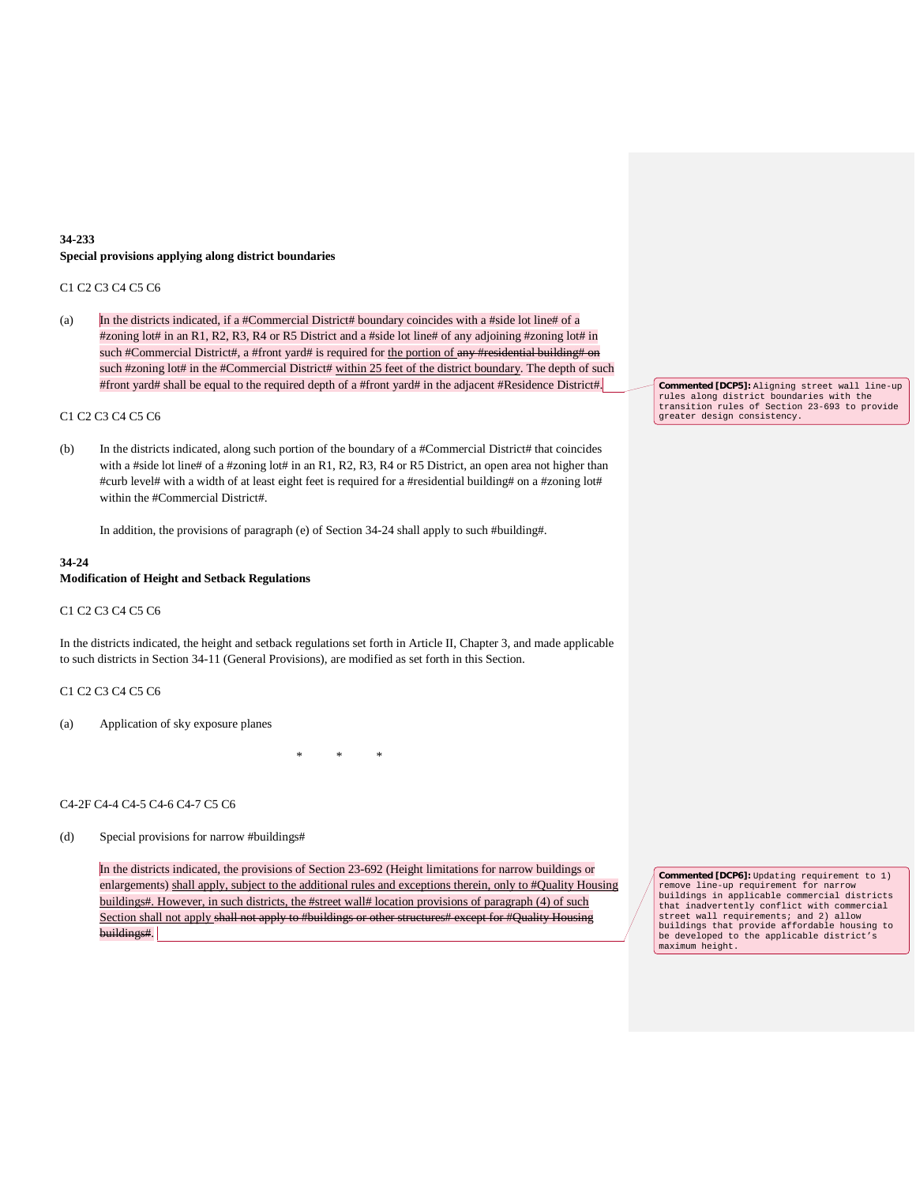### **34-233 Special provisions applying along district boundaries**

#### C1 C2 C3 C4 C5 C6

(a) In the districts indicated, if a #Commercial District# boundary coincides with a #side lot line# of a #zoning lot# in an R1, R2, R3, R4 or R5 District and a #side lot line# of any adjoining #zoning lot# in such #Commercial District#, a #front yard# is required for the portion of any #residential building# on such #zoning lot# in the #Commercial District# within 25 feet of the district boundary. The depth of such #front yard# shall be equal to the required depth of a #front yard# in the adjacent #Residence District#.

### C1 C2 C3 C4 C5 C6

(b) In the districts indicated, along such portion of the boundary of a #Commercial District# that coincides with a #side lot line# of a #zoning lot# in an R1, R2, R3, R4 or R5 District, an open area not higher than #curb level# with a width of at least eight feet is required for a #residential building# on a #zoning lot# within the #Commercial District#.

In addition, the provisions of paragraph (e) of Section 34-24 shall apply to such #building#.

#### **34-24**

### **Modification of Height and Setback Regulations**

#### C1 C2 C3 C4 C5 C6

In the districts indicated, the height and setback regulations set forth in Article II, Chapter 3, and made applicable to such districts in Section 34-11 (General Provisions), are modified as set forth in this Section.

#### C1 C2 C3 C4 C5 C6

(a) Application of sky exposure planes

\* \* \*

#### C4-2F C4-4 C4-5 C4-6 C4-7 C5 C6

(d) Special provisions for narrow #buildings#

In the districts indicated, the provisions of Section 23-692 (Height limitations for narrow buildings or enlargements) shall apply, subject to the additional rules and exceptions therein, only to #Quality Housing buildings#. However, in such districts, the #street wall# location provisions of paragraph (4) of such Section shall not apply shall not apply to #buildings or other structures# except for #Quality Housing buildings#.

**Commented [DCP5]:** Aligning street wall line-up rules along district boundaries with the transition rules of Section 23-693 to provide greater design consistency.

**Commented [DCP6]:** Updating requirement to 1) remove line-up requirement for narrow buildings in applicable commercial districts that inadvertently conflict with commercial street wall requirements; and 2) allow buildings that provide affordable housing to be developed to the applicable district's maximum height.